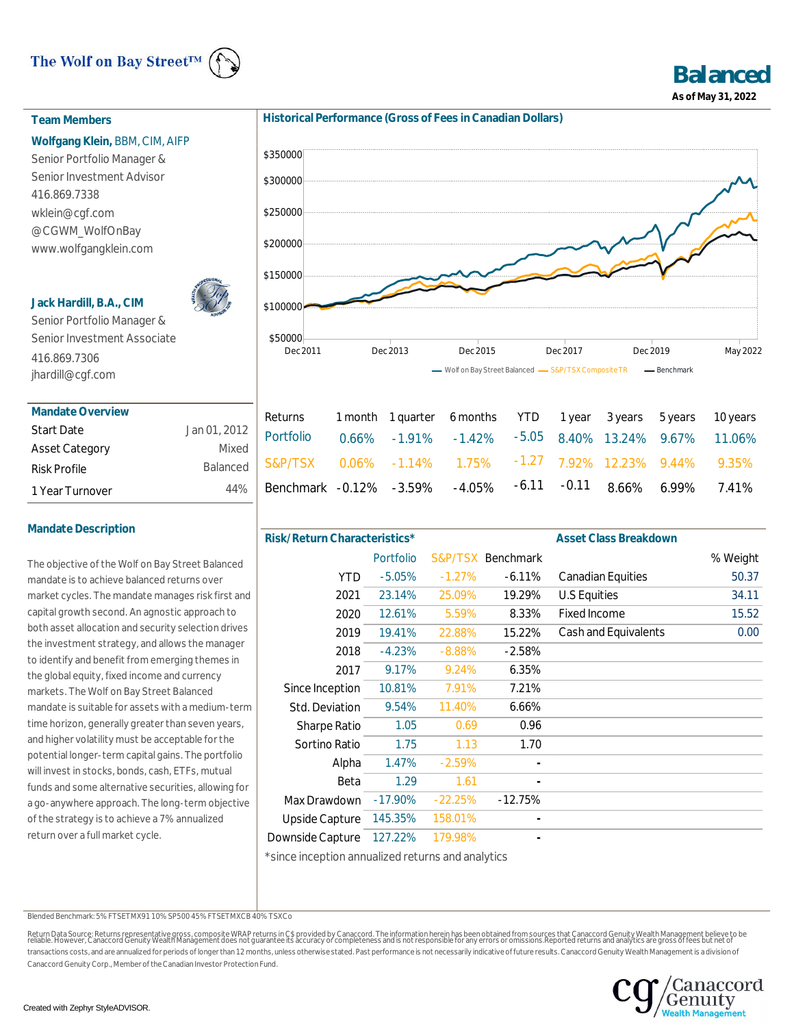# The Wolf on Bay Street<sup>TM</sup>



**Balanced As of May 31, 2022**

## **Team Members**

## **Wolfgang Klein,** BBM, CIM, AIFP

Senior Portfolio Manager & Senior Investment Advisor 416.869.7338 wklein@cgf.com @CGWM\_WolfOnBay www.wolfgangklein.com

## **Jack Hardill, B.A., CIM**



Senior Portfolio Manager & Senior Investment Associate 416.869.7306 jhardill@cgf.com

| Mandate Overview      |                 |
|-----------------------|-----------------|
| <b>Start Date</b>     | Jan 01, 2012    |
| <b>Asset Category</b> | Mixed           |
| <b>Risk Profile</b>   | <b>Balanced</b> |
| 1 Year Turnover       | 44%             |

## **Mandate Description**

The objective of the Wolf on Bay Street Balanced mandate is to achieve balanced returns over market cycles. The mandate manages risk first and capital growth second. An agnostic approach to both asset allocation and security selection drives the investment strategy, and allows the manager to identify and benefit from emerging themes in the global equity, fixed income and currency markets. The Wolf on Bay Street Balanced mandate is suitable for assets with a medium-term time horizon, generally greater than seven years, and higher volatility must be acceptable for the potential longer-term capital gains. The portfolio will invest in stocks, bonds, cash, ETFs, mutual funds and some alternative securities, allowing for a go-anywhere approach. The long-term objective of the strategy is to achieve a 7% annualized return over a full market cycle.





| Returns 1 month 1 quarter 6 months YTD 1 year 3 years 5 years 10 years     |  |  |  |  |
|----------------------------------------------------------------------------|--|--|--|--|
| $_{\rm d}$   S&P/TSX 0.06% -1.14% 1.75% -1.27 7.92% 12.23% 9.44% 9.35%     |  |  |  |  |
| $\frac{1}{6}$ Benchmark -0.12% -3.59% -4.05% -6.11 -0.11 8.66% 6.99% 7.41% |  |  |  |  |

| Risk/Return Characteristics* |           |           |                   | <b>Asset Class Breakdown</b> |          |
|------------------------------|-----------|-----------|-------------------|------------------------------|----------|
|                              | Portfolio |           | S&P/TSX Benchmark |                              | % Weight |
| <b>YTD</b>                   | $-5.05%$  | $-1.27%$  | $-6.11%$          | <b>Canadian Equities</b>     | 50.37    |
| 2021                         | 23.14%    | 25.09%    | 19.29%            | U.S Equities                 | 34.11    |
| 2020                         | 12.61%    | 5.59%     | 8.33%             | <b>Fixed Income</b>          | 15.52    |
| 2019                         | 19.41%    | 22.88%    | 15.22%            | Cash and Equivalents         | 0.00     |
| 2018                         | $-4.23%$  | $-8.88%$  | $-2.58%$          |                              |          |
| 2017                         | 9.17%     | 9.24%     | 6.35%             |                              |          |
| Since Inception              | 10.81%    | 7.91%     | 7.21%             |                              |          |
| Std. Deviation               | 9.54%     | 11.40%    | 6.66%             |                              |          |
| <b>Sharpe Ratio</b>          | 1.05      | 0.69      | 0.96              |                              |          |
| Sortino Ratio                | 1.75      | 1.13      | 1.70              |                              |          |
| Alpha                        | 1.47%     | $-2.59%$  |                   |                              |          |
| Beta                         | 1.29      | 1.61      |                   |                              |          |
| Max Drawdown                 | $-17.90%$ | $-22.25%$ | $-12.75%$         |                              |          |
| <b>Upside Capture</b>        | 145.35%   | 158.01%   |                   |                              |          |
| Downside Capture             | 127.22%   | 179.98%   |                   |                              |          |
| .                            |           |           |                   |                              |          |

\*since inception annualized returns and analytics

Blended Benchmark: 5% FTSETMX91 10% SP500 45% FTSETMXCB 40% TSXCo

Return Data Source: Returns representative gross, composite WRAP returns in C\$ provided by Canaccord. The information herein has been obtained from sources that Canaccord Genuity Wealth Management believe to be<br>reliable. H transactions costs, and are annualized for periods of longer than 12 months, unless otherwise stated. Past performance is not necessarily indicative of future results. Canaccord Genuity Wealth Management is a division of Canaccord Genuity Corp., Member of the Canadian Investor Protection Fund.